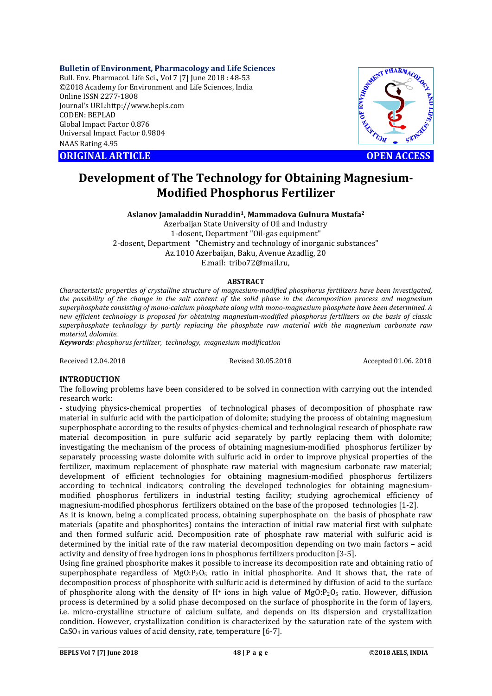# **Bulletin of Environment, Pharmacology and Life Sciences**

Bull. Env. Pharmacol. Life Sci., Vol 7 [7] June 2018 : 48-53 ©2018 Academy for Environment and Life Sciences, India Online ISSN 2277-1808 Journal's URL:http://www.bepls.com CODEN: BEPLAD Global Impact Factor 0.876 Universal Impact Factor 0.9804 NAAS Rating 4.95 CONSIDERED CONGINAL ARTICLE **CENT**<br>
ORIGINAL ARTICLE<br>
ORIGINAL ARTICLE<br>
ORIGINAL ARTICLE<br>
ORIGINAL ARTICLE<br>
ORIGINAL ARTICLE<br>
OPEN ACCESS



# **Development of The Technology for Obtaining Magnesium-Modified Phosphorus Fertilizer**

## **Aslanov Jamaladdin Nuraddin1, Mammadova Gulnura Mustafa2**

Azerbaijan State University of Oil and Industry 1-dosent, Department "Oil-gas equipment" 2-dosent, Department "Chemistry and technology of inorganic substances" Az.1010 Azerbaijan, Baku, Avenue Azadlig, 20 E.mail: tribo72@mail.ru,

### **ABSTRACT**

*Characteristic properties of crystalline structure of magnesium-modified phosphorus fertilizers have been investigated, the possibility of the change in the salt content of the solid phase in the decomposition process and magnesium superphosphate consisting of mono-calcium phosphate along with mono-magnesium phosphate have been determined. A new efficient technology is proposed for obtaining magnesium-modified phosphorus fertilizers on the basis of classic superphosphate technology by partly replacing the phosphate raw material with the magnesium carbonate raw material, dolomite.*

*Keywords: phosphorus fertilizer, technology, magnesium modification*

Received 12.04.2018 Revised 30.05.2018 Accepted 01.06. 2018

## **INTRODUCTION**

The following problems have been considered to be solved in connection with carrying out the intended research work:

- studying physics-chemical properties of technological phases of decomposition of phosphate raw material in sulfuric acid with the participation of dolomite; studying the process of obtaining magnesium superphosphate according to the results of physics-chemical and technological research of phosphate raw material decomposition in pure sulfuric acid separately by partly replacing them with dolomite; investigating the mechanism of the process of obtaining magnesium-modified phosphorus fertilizer by separately processing waste dolomite with sulfuric acid in order to improve physical properties of the fertilizer, maximum replacement of phosphate raw material with magnesium carbonate raw material; development of efficient technologies for obtaining magnesium-modified phosphorus fertilizers according to technical indicators; controling the developed technologies for obtaining magnesiummodified phosphorus fertilizers in industrial testing facility; studying agrochemical efficiency of magnesium-modified phosphorus fertilizers obtained on the base of the proposed technologies [1-2].

As it is known, being a complicated process, obtaining superphosphate on the basis of phosphate raw materials (apatite and phosphorites) contains the interaction of initial raw material first with sulphate and then formed sulfuric acid. Decomposition rate of phosphate raw material with sulfuric acid is determined by the initial rate of the raw material decomposition depending on two main factors – acid activity and density of free hydrogen ions in phosphorus fertilizers produciton [3-5].

Using fine grained phosphorite makes it possible to increase its decomposition rate and obtaining ratio of superphosphate regardless of  $MgO:P<sub>2</sub>O<sub>5</sub>$  ratio in initial phosphorite. And it shows that, the rate of decomposition process of phosphorite with sulfuric acid is determined by diffusion of acid to the surface of phosphorite along with the density of  $H^+$  ions in high value of MgO:P<sub>2</sub>O<sub>5</sub> ratio. However, diffusion process is determined by a solid phase decomposed on the surface of phosphorite in the form of layers, i.e. micro-crystalline structure of calcium sulfate, and depends on its dispersion and crystallization condition. However, crystallization condition is characterized by the saturation rate of the system with CaSO4 in various values of acid density, rate, temperature [6-7].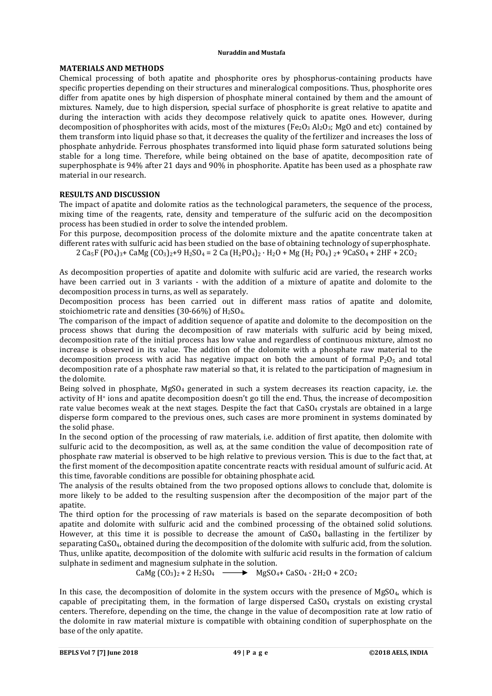#### **Nuraddin and Mustafa**

# **MATERIALS AND METHODS**

Chemical processing of both apatite and phosphorite ores by phosphorus-containing products have specific properties depending on their structures and mineralogical compositions. Thus, phosphorite ores differ from apatite ones by high dispersion of phosphate mineral contained by them and the amount of mixtures. Namely, due to high dispersion, special surface of phosphorite is great relative to apatite and during the interaction with acids they decompose relatively quick to apatite ones. However, during decomposition of phosphorites with acids, most of the mixtures (Fe<sub>2</sub>O<sub>3</sub> Al<sub>2</sub>O<sub>3</sub>; MgO and etc) contained by them transform into liquid phase so that, it decreases the quality of the fertilizer and increases the loss of phosphate anhydride. Ferrous phosphates transformed into liquid phase form saturated solutions being stable for a long time. Therefore, while being obtained on the base of apatite, decomposition rate of superphosphate is 94% after 21 days and 90% in phosphorite. Apatite has been used as a phosphate raw material in our research.

# **RESULTS AND DISCUSSION**

The impact of apatite and dolomite ratios as the technological parameters, the sequence of the process, mixing time of the reagents, rate, density and temperature of the sulfuric acid on the decomposition process has been studied in order to solve the intended problem.

For this purpose, decomposition process of the dolomite mixture and the apatite concentrate taken at different rates with sulfuric acid has been studied on the base of obtaining technology of superphosphate.

2 Ca<sub>5</sub>F (PO<sub>4</sub>)<sub>3</sub>+ CaMg (CO<sub>3</sub>)<sub>2</sub>+9 H<sub>2</sub>SO<sub>4</sub> = 2 Ca (H<sub>2</sub>PO<sub>4</sub>)<sub>2</sub> · H<sub>2</sub>O + Mg (H<sub>2</sub> PO<sub>4</sub>)<sub>2</sub>+ 9CaSO<sub>4</sub> + 2HF + 2CO<sub>2</sub>

As decomposition properties of apatite and dolomite with sulfuric acid are varied, the research works have been carried out in 3 variants - with the addition of a mixture of apatite and dolomite to the decomposition process in turns, as well as separately.

Decomposition process has been carried out in different mass ratios of apatite and dolomite, stoichiometric rate and densities  $(30-66%)$  of  $H_2SO_4$ .

The comparison of the impact of addition sequence of apatite and dolomite to the decomposition on the process shows that during the decomposition of raw materials with sulfuric acid by being mixed, decomposition rate of the initial process has low value and regardless of continuous mixture, almost no increase is observed in its value. The addition of the dolomite with a phosphate raw material to the decomposition process with acid has negative impact on both the amount of formal  $P_2O_5$  and total decomposition rate of a phosphate raw material so that, it is related to the participation of magnesium in the dolomite.

Being solved in phosphate,  $MgSO_4$  generated in such a system decreases its reaction capacity, i.e. the activity of H+ ions and apatite decomposition doesn't go till the end. Thus, the increase of decomposition rate value becomes weak at the next stages. Despite the fact that CaSO<sub>4</sub> crystals are obtained in a large disperse form compared to the previous ones, such cases are more prominent in systems dominated by the solid phase.

In the second option of the processing of raw materials, i.e. addition of first apatite, then dolomite with sulfuric acid to the decomposition, as well as, at the same condition the value of decomposition rate of phosphate raw material is observed to be high relative to previous version. This is due to the fact that, at the first moment of the decomposition apatite concentrate reacts with residual amount of sulfuric acid. At this time, favorable conditions are possible for obtaining phosphate acid.

The analysis of the results obtained from the two proposed options allows to conclude that, dolomite is more likely to be added to the resulting suspension after the decomposition of the major part of the apatite.

The third option for the processing of raw materials is based on the separate decomposition of both apatite and dolomite with sulfuric acid and the combined processing of the obtained solid solutions. However, at this time it is possible to decrease the amount of  $CaSO<sub>4</sub>$  ballasting in the fertilizer by separating CaSO4, obtained during the decomposition of the dolomite with sulfuric acid, from the solution. Thus, unlike apatite, decomposition of the dolomite with sulfuric acid results in the formation of calcium sulphate in sediment and magnesium sulphate in the solution.

CaMg  $(CO_3)_2$  + 2 H<sub>2</sub>SO<sub>4</sub>  $\longrightarrow$  MgSO<sub>4</sub> + CaSO<sub>4</sub> · 2H<sub>2</sub>O + 2CO<sub>2</sub>

In this case, the decomposition of dolomite in the system occurs with the presence of MgSO<sub>4</sub>, which is capable of precipitating them, in the formation of large dispersed  $CaSO<sub>4</sub>$  crystals on existing crystal centers. Therefore, depending on the time, the change in the value of decomposition rate at low ratio of the dolomite in raw material mixture is compatible with obtaining condition of superphosphate on the base of the only apatite.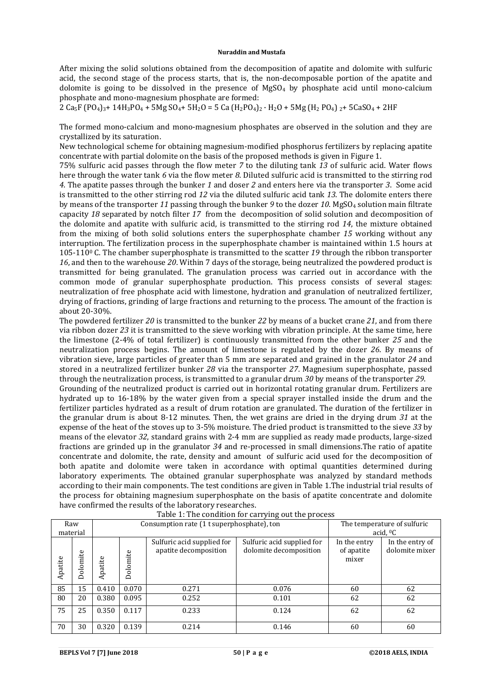After mixing the solid solutions obtained from the decomposition of apatite and dolomite with sulfuric acid, the second stage of the process starts, that is, the non-decomposable portion of the apatite and dolomite is going to be dissolved in the presence of  $MgSO<sub>4</sub>$  by phosphate acid until mono-calcium phosphate and mono-magnesium phosphate are formed:

2 Ca5F (PO4)3+ 14H3PO4 + 5Mg SO4+ 5H2O = 5 Ca (H2PO4)2 · H2O + 5Mg (H2 PO4) 2+ 5CaSO4 + 2HF

The formed mono-calcium and mono-magnesium phosphates are observed in the solution and they are crystallized by its saturation.

New technological scheme for obtaining magnesium-modified phosphorus fertilizers by replacing apatite concentrate with partial dolomite on the basis of the proposed methods is given in Figure 1.

75% sulfuric acid passes through the flow meter *7* to the diluting tank *13* of sulfuric acid. Water flows here through the water tank *6* via the flow meter *8*. Diluted sulfuric acid is transmitted to the stirring rod *4*. The apatite passes through the bunker *1* and doser *2* and enters here via the transporter *3*. Some acid is transmitted to the other stirring rod *12* via the diluted sulfuric acid tank *13*. The dolomite enters there by means of the transporter *11* passing through the bunker *9* to the dozer *10*. MgSO4 solution main filtrate capacity *18* separated by notch filter *17* from the decomposition of solid solution and decomposition of the dolomite and apatite with sulfuric acid, is transmitted to the stirring rod *14*, the mixture obtained from the mixing of both solid solutions enters the superphosphate chamber *15* working without any interruption. The fertilization process in the superphosphate chamber is maintained within 1.5 hours at 105-1100 C. The chamber superphosphate is transmitted to the scatter *19* through the ribbon transporter *16*, and then to the warehouse *20*. Within 7 days of the storage, being neutralized the powdered product is transmitted for being granulated. The granulation process was carried out in accordance with the common mode of granular superphosphate production. This process consists of several stages: neutralization of free phosphate acid with limestone, hydration and granulation of neutralized fertilizer, drying of fractions, grinding of large fractions and returning to the process. The amount of the fraction is about 20-30%.

The powdered fertilizer *20* is transmitted to the bunker *22* by means of a bucket crane *21*, and from there via ribbon dozer *23* it is transmitted to the sieve working with vibration principle. At the same time, here the limestone (2-4% of total fertilizer) is continuously transmitted from the other bunker *25* and the neutralization process begins. The amount of limestone is regulated by the dozer *26*. By means of vibration sieve, large particles of greater than 5 mm are separated and grained in the granulator *24* and stored in a neutralized fertilizer bunker *28* via the transporter *27*. Magnesium superphosphate, passed through the neutralization process, is transmitted to a granular drum *30* by means of the transporter *29*.

Grounding of the neutralized product is carried out in horizontal rotating granular drum. Fertilizers are hydrated up to 16-18% by the water given from a special sprayer installed inside the drum and the fertilizer particles hydrated as a result of drum rotation are granulated. The duration of the fertilizer in the granular drum is about 8-12 minutes. Then, the wet grains are dried in the drying drum *31* at the expense of the heat of the stoves up to 3-5% moisture. The dried product is transmitted to the sieve *33* by means of the elevator *32*, standard grains with 2-4 mm are supplied as ready made products, large-sized fractions are grinded up in the granulator *34* and re-processed in small dimensions.The ratio of apatite concentrate and dolomite, the rate, density and amount of sulfuric acid used for the decomposition of both apatite and dolomite were taken in accordance with optimal quantities determined during laboratory experiments. The obtained granular superphosphate was analyzed by standard methods according to their main components. The test conditions are given in Table 1.The industrial trial results of the process for obtaining magnesium superphosphate on the basis of apatite concentrate and dolomite have confirmed the results of the laboratory researches.

| Table 1. The condition for earlying out the process |          |         |          |                                                     |                                                      |                                     |                                   |  |  |  |  |  |  |
|-----------------------------------------------------|----------|---------|----------|-----------------------------------------------------|------------------------------------------------------|-------------------------------------|-----------------------------------|--|--|--|--|--|--|
| Raw                                                 |          |         |          | Consumption rate (1 t superphosphate), ton          | The temperature of sulfuric                          |                                     |                                   |  |  |  |  |  |  |
| material                                            |          |         |          |                                                     | acid, ${}^0C$                                        |                                     |                                   |  |  |  |  |  |  |
| Apatite                                             | Dolomite | Apatite | Dolomite | Sulfuric acid supplied for<br>apatite decomposition | Sulfuric acid supplied for<br>dolomite decomposition | In the entry<br>of apatite<br>mixer | In the entry of<br>dolomite mixer |  |  |  |  |  |  |
| 85                                                  | 15       | 0.410   | 0.070    | 0.271                                               | 0.076                                                | 60                                  | 62                                |  |  |  |  |  |  |
| 80                                                  | 20       | 0.380   | 0.095    | 0.252                                               | 0.101                                                | 62                                  | 62                                |  |  |  |  |  |  |
| 75                                                  | 25       | 0.350   | 0.117    | 0.233                                               | 0.124                                                | 62                                  | 62                                |  |  |  |  |  |  |
| 70                                                  | 30       | 0.320   | 0.139    | 0.214                                               | 0.146                                                | 60                                  | 60                                |  |  |  |  |  |  |

Table 1: The condition for carrying out the process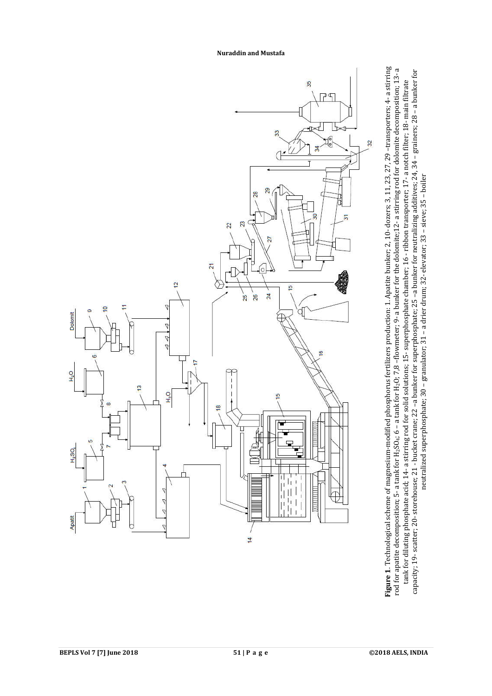

Figure 1. Technological scheme of magnesium-modified phosphorus fertilizers production: 1. Apatite bunker; 2, 10- dozers; 3, 11, 23, 27, 29 -transporters; 4- a stirring **Figure 1**. Technological scheme of magnesium-modified phosphorus fertilizers production: 1. Apatite bunker; 2, 10- dozers; 3, 11, 23, 27, 29 –transporters; 4– a stirring<br>P.B. P. The matite decomposition; 5– a tank for H<sub></sub> rod for apatite decomposition; 5- a tank for H2SO4; 6 – a tank for H2O; 7,8 –flowmeter; 9- a bunker for the dolomite;12- a stirring rod for dolomite decomposition; 13- a tank for diluting phosphate acid; 14- a stirring rod for solid solutions; 15- superphosphate chamber; 16 - ribbon transporter; 17- a notch filter; 18- main filtrate<br>capacity; 19- scatter; 20- storehouse; 21 - bucket crane; neutralized superphosphate; 30 - granulator; 31 - a drier drum; 32- elevator; 33 - sieve; 35 - boiler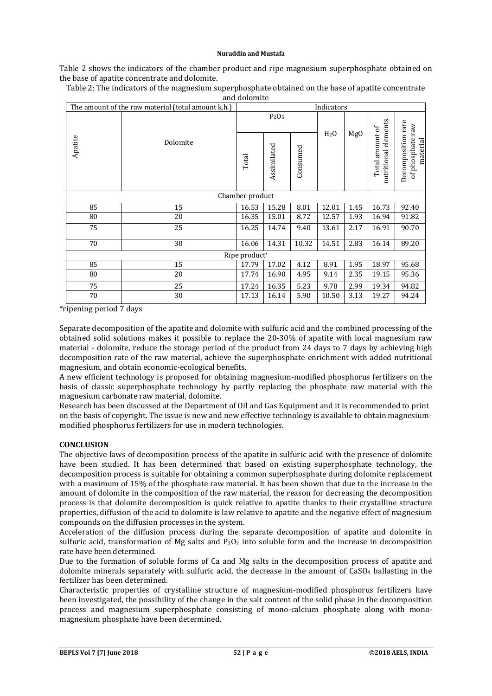#### **Nuraddin and Mustafa**

Table 2 shows the indicators of the chamber product and ripe magnesium superphosphate obtained on the base of apatite concentrate and dolomite.

|                           | The amount of the raw material (total amount k.h.) | Indicators                    |             |          |                  |                 |                                         |                                                    |  |  |  |  |
|---------------------------|----------------------------------------------------|-------------------------------|-------------|----------|------------------|-----------------|-----------------------------------------|----------------------------------------------------|--|--|--|--|
|                           | Dolomite                                           | P <sub>2</sub> O <sub>5</sub> |             |          |                  |                 |                                         |                                                    |  |  |  |  |
| Apatite                   |                                                    | Total                         | Assimilated | Consumed | H <sub>2</sub> 0 | Mg <sub>0</sub> | nutritional elements<br>Total amount of | Decomposition rate<br>of phosphate raw<br>material |  |  |  |  |
| Chamber product           |                                                    |                               |             |          |                  |                 |                                         |                                                    |  |  |  |  |
| 85                        | 15                                                 | 16.53                         | 15.28       | 8.01     | 12.01            | 1.45            | 16.73                                   | 92.40                                              |  |  |  |  |
| 80                        | 20                                                 | 16.35                         | 15.01       | 8.72     | 12.57            | 1.93            | 16.94                                   | 91.82                                              |  |  |  |  |
| 75                        | 25                                                 | 16.25                         | 14.74       | 9.40     | 13.61            | 2.17            | 16.91                                   | 90.70                                              |  |  |  |  |
| 70                        | 30                                                 | 16.06                         | 14.31       | 10.32    | 14.51            | 2.83            | 16.14                                   | 89.20                                              |  |  |  |  |
| Ripe product <sup>*</sup> |                                                    |                               |             |          |                  |                 |                                         |                                                    |  |  |  |  |
| 85                        | 15                                                 | 17.79                         | 17.02       | 4.12     | 8.91             | 1.95            | 18.97                                   | 95.68                                              |  |  |  |  |
| 80                        | 20                                                 | 17.74                         | 16.90       | 4.95     | 9.14             | 2.35            | 19.15                                   | 95.36                                              |  |  |  |  |
| 75                        | 25                                                 | 17.24                         | 16.35       | 5.23     | 9.78             | 2.99            | 19.34                                   | 94.82                                              |  |  |  |  |
| 70                        | 30                                                 | 17.13                         | 16.14       | 5.90     | 10.50            | 3.13            | 19.27                                   | 94.24                                              |  |  |  |  |

Table 2: The indicators of the magnesium superphosphate obtained on the base of apatite concentrate and dolomite

\*ripening period 7 days

Separate decomposition of the apatite and dolomite with sulfuric acid and the combined processing of the obtained solid solutions makes it possible to replace the 20-30% of apatite with local magnesium raw material - dolomite, reduce the storage period of the product from 24 days to 7 days by achieving high decomposition rate of the raw material, achieve the superphosphate enrichment with added nutritional magnesium, and obtain economic-ecological benefits.

A new efficient technology is proposed for obtaining magnesium-modified phosphorus fertilizers on the basis of classic superphosphate technology by partly replacing the phosphate raw material with the magnesium carbonate raw material, dolomite.

Research has been discussed at the Department of Oil and Gas Equipment and it is recommended to print on the basis of copyright. The issue is new and new effective technology is available to obtain magnesiummodified phosphorus fertilizers for use in modern technologies.

## **CONCLUSION**

The objective laws of decomposition process of the apatite in sulfuric acid with the presence of dolomite have been studied. It has been determined that based on existing superphosphate technology, the decomposition process is suitable for obtaining a common superphosphate during dolomite replacement with a maximum of 15% of the phosphate raw material. It has been shown that due to the increase in the amount of dolomite in the composition of the raw material, the reason for decreasing the decomposition process is that dolomite decomposition is quick relative to apatite thanks to their crystalline structure properties, diffusion of the acid to dolomite is law relative to apatite and the negative effect of magnesium compounds on the diffusion processes in the system.

Acceleration of the diffusion process during the separate decomposition of apatite and dolomite in sulfuric acid, transformation of Mg salts and  $P_2O_2$  into soluble form and the increase in decomposition rate have been determined.

Due to the formation of soluble forms of Ca and Mg salts in the decomposition process of apatite and dolomite minerals separately with sulfuric acid, the decrease in the amount of CaSO4 ballasting in the fertilizer has been determined.

Characteristic properties of crystalline structure of magnesium-modified phosphorus fertilizers have been investigated, the possibility of the change in the salt content of the solid phase in the decomposition process and magnesium superphosphate consisting of mono-calcium phosphate along with monomagnesium phosphate have been determined.